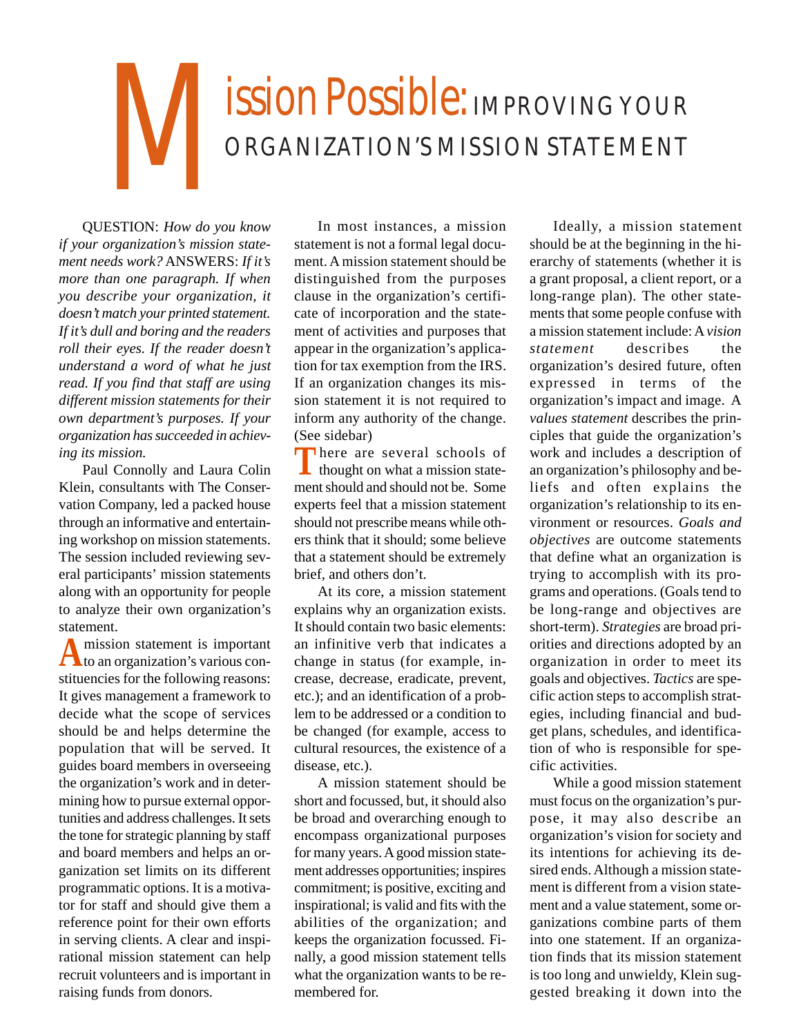## ISSION Possible: IMPROVING YOUR ORGANIZATION'S MISSION STATEMENT

QUESTION: *How do you know if your organization's mission statement needs work?* ANSWERS: *If it's more than one paragraph. If when you describe your organization, it doesn't match your printed statement. If it's dull and boring and the readers roll their eyes. If the reader doesn't understand a word of what he just read. If you find that staff are using different mission statements for their own department's purposes. If your organization has succeeded in achieving its mission.*

Paul Connolly and Laura Colin Klein, consultants with The Conservation Company, led a packed house through an informative and entertaining workshop on mission statements. The session included reviewing several participants' mission statements along with an opportunity for people to analyze their own organization's statement.

A mission statement is important<br>
to an organization's various constituencies for the following reasons: It gives management a framework to decide what the scope of services should be and helps determine the population that will be served. It guides board members in overseeing the organization's work and in determining how to pursue external opportunities and address challenges. It sets the tone for strategic planning by staff and board members and helps an organization set limits on its different programmatic options. It is a motivator for staff and should give them a reference point for their own efforts in serving clients. A clear and inspirational mission statement can help recruit volunteers and is important in raising funds from donors.

In most instances, a mission statement is not a formal legal document. A mission statement should be distinguished from the purposes clause in the organization's certificate of incorporation and the statement of activities and purposes that appear in the organization's application for tax exemption from the IRS. If an organization changes its mission statement it is not required to inform any authority of the change. (See sidebar)

**T**here are several schools of thought on what a mission statement should and should not be. Some experts feel that a mission statement should not prescribe means while others think that it should; some believe that a statement should be extremely brief, and others don't.

At its core, a mission statement explains why an organization exists. It should contain two basic elements: an infinitive verb that indicates a change in status (for example, increase, decrease, eradicate, prevent, etc.); and an identification of a problem to be addressed or a condition to be changed (for example, access to cultural resources, the existence of a disease, etc.).

A mission statement should be short and focussed, but, it should also be broad and overarching enough to encompass organizational purposes for many years. A good mission statement addresses opportunities; inspires commitment; is positive, exciting and inspirational; is valid and fits with the abilities of the organization; and keeps the organization focussed. Finally, a good mission statement tells what the organization wants to be remembered for.

Ideally, a mission statement should be at the beginning in the hierarchy of statements (whether it is a grant proposal, a client report, or a long-range plan). The other statements that some people confuse with a mission statement include: A *vision statement* describes the organization's desired future, often expressed in terms of the organization's impact and image. A *values statement* describes the principles that guide the organization's work and includes a description of an organization's philosophy and beliefs and often explains the organization's relationship to its environment or resources. *Goals and objectives* are outcome statements that define what an organization is trying to accomplish with its programs and operations. (Goals tend to be long-range and objectives are short-term). *Strategies* are broad priorities and directions adopted by an organization in order to meet its goals and objectives. *Tactics* are specific action steps to accomplish strategies, including financial and budget plans, schedules, and identification of who is responsible for specific activities.

While a good mission statement must focus on the organization's purpose, it may also describe an organization's vision for society and its intentions for achieving its desired ends. Although a mission statement is different from a vision statement and a value statement, some organizations combine parts of them into one statement. If an organization finds that its mission statement is too long and unwieldy, Klein suggested breaking it down into the